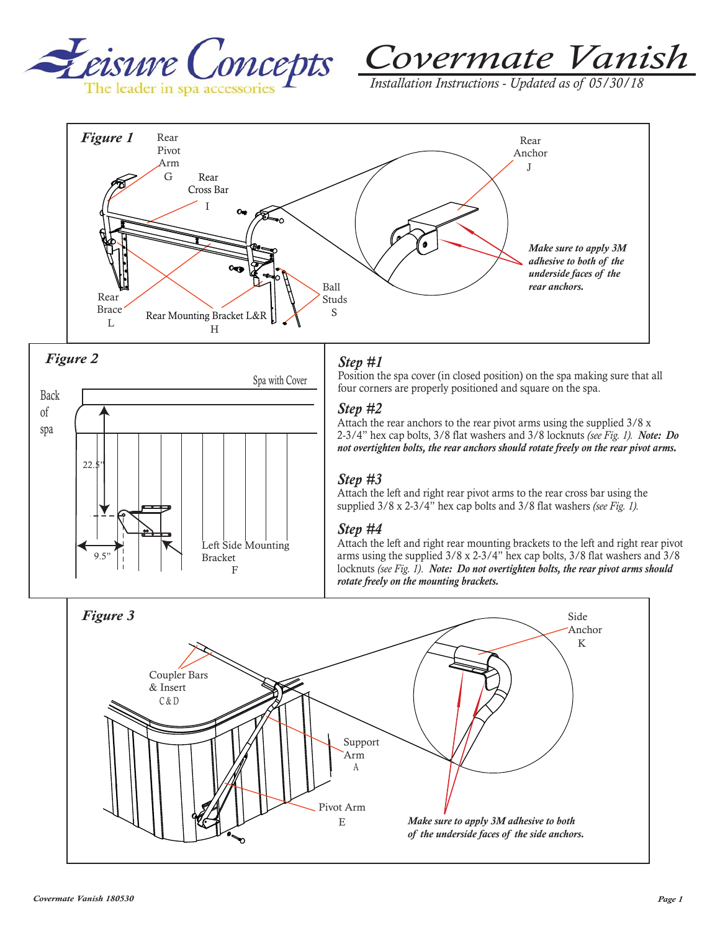



*Installation Instructions - Updated as of 05/30/18* 







## *Step #1*

Position the spa cover (in closed position) on the spa making sure that all four corners are properly positioned and square on the spa.

#### *Step #2*

Attach the rear anchors to the rear pivot arms using the supplied 3/8 x 2-3/4" hex cap bolts, 3/8 flat washers and 3/8 locknuts *(see Fig. 1). Note: Do not overtighten bolts, the rear anchors should rotate freely on the rear pivot arms.*

#### *Step #3*

Attach the left and right rear pivot arms to the rear cross bar using the supplied 3/8 x 2-3/4" hex cap bolts and 3/8 flat washers *(see Fig. 1).*

#### *Step #4*

Attach the left and right rear mounting brackets to the left and right rear pivot arms using the supplied 3/8 x 2-3/4" hex cap bolts, 3/8 flat washers and 3/8 locknuts *(see Fig. 1)*. *Note: Do not overtighten bolts, the rear pivot arms should rotate freely on the mounting brackets.*